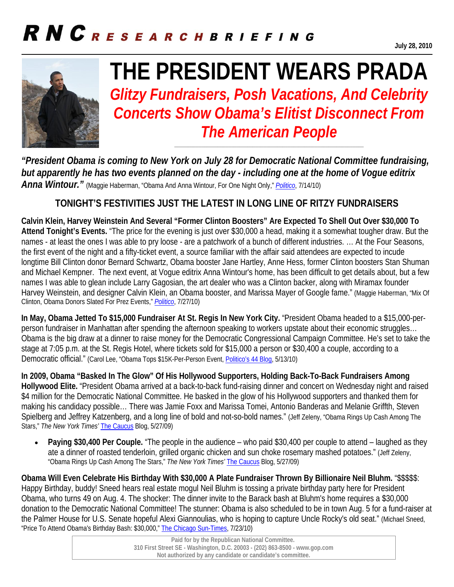## RNCRESEARCHBRIEFING



# **THE PRESIDENT WEARS PRADA**

*Glitzy Fundraisers, Posh Vacations, And Celebrity Concerts Show Obama's Elitist Disconnect From The American People* 

**\_\_\_\_\_\_\_\_\_\_\_\_\_\_\_\_\_\_\_\_\_\_\_\_\_\_\_\_\_\_\_\_\_\_\_\_\_\_\_\_\_\_\_\_\_\_\_\_\_\_\_\_\_\_\_\_\_\_\_\_\_\_\_\_\_\_\_\_\_\_** 

*"President Obama is coming to New York on July 28 for Democratic National Committee fundraising, but apparently he has two events planned on the day - including one at the home of Vogue editrix Anna Wintour."* (Maggie Haberman, "Obama And Anna Wintour, For One Night Only," *Politico*, 7/14/10)

#### **TONIGHT'S FESTIVITIES JUST THE LATEST IN LONG LINE OF RITZY FUNDRAISERS**

**Calvin Klein, Harvey Weinstein And Several "Former Clinton Boosters" Are Expected To Shell Out Over \$30,000 To Attend Tonight's Events.** "The price for the evening is just over \$30,000 a head, making it a somewhat tougher draw. But the names - at least the ones I was able to pry loose - are a patchwork of a bunch of different industries. … At the Four Seasons, the first event of the night and a fifty-ticket event, a source familiar with the affair said attendees are expected to incude longtime Bill Clinton donor Bernard Schwartz, Obama booster Jane Hartley, Anne Hess, former Clinton boosters Stan Shuman and Michael Kempner. The next event, at Vogue editrix Anna Wintour's home, has been difficult to get details about, but a few names I was able to glean include Larry Gagosian, the art dealer who was a Clinton backer, along with Miramax founder Harvey Weinstein, and designer Calvin Klein, an Obama booster, and Marissa Mayer of Google fame." (Maggie Haberman, "Mix Of Clinton, Obama Donors Slated For Prez Events," *Politico*, 7/27/10)

**In May, Obama Jetted To \$15,000 Fundraiser At St. Regis In New York City.** "President Obama headed to a \$15,000-perperson fundraiser in Manhattan after spending the afternoon speaking to workers upstate about their economic struggles… Obama is the big draw at a dinner to raise money for the Democratic Congressional Campaign Committee. He's set to take the stage at 7:05 p.m. at the St. Regis Hotel, where tickets sold for \$15,000 a person or \$30,400 a couple, according to a Democratic official." (Carol Lee, "Obama Tops \$15K-Per-Person Event, Politico's 44 Blog, 5/13/10)

**In 2009, Obama "Basked In The Glow" Of His Hollywood Supporters, Holding Back-To-Back Fundraisers Among Hollywood Elite.** "President Obama arrived at a back-to-back fund-raising dinner and concert on Wednesday night and raised \$4 million for the Democratic National Committee. He basked in the glow of his Hollywood supporters and thanked them for making his candidacy possible… There was Jamie Foxx and Marissa Tomei, Antonio Banderas and Melanie Griffth, Steven Spielberg and Jeffrey Katzenberg, and a long line of bold and not-so-bold names." (Jeff Zeleny, "Obama Rings Up Cash Among The Stars," *The New York Times'* The Caucus Blog, 5/27/09)

 **Paying \$30,400 Per Couple.** "The people in the audience – who paid \$30,400 per couple to attend – laughed as they ate a dinner of roasted tenderloin, grilled organic chicken and sun choke rosemary mashed potatoes." (Jeff Zeleny, "Obama Rings Up Cash Among The Stars," *The New York Times'* The Caucus Blog, 5/27/09)

**Obama Will Even Celebrate His Birthday With \$30,000 A Plate Fundraiser Thrown By Billionaire Neil Bluhm.** "\$\$\$\$\$: Happy Birthday, buddy! Sneed hears real estate mogul Neil Bluhm is tossing a private birthday party here for President Obama, who turns 49 on Aug. 4. The shocker: The dinner invite to the Barack bash at Bluhm's home requires a \$30,000 donation to the Democratic National Committee! The stunner: Obama is also scheduled to be in town Aug. 5 for a fund-raiser at the Palmer House for U.S. Senate hopeful Alexi Giannoulias, who is hoping to capture Uncle Rocky's old seat." (Michael Sneed, "Price To Attend Obama's Birthday Bash: \$30,000," The Chicago Sun-Times, 7/23/10)

> **Paid for by the Republican National Committee. 310 First Street SE - Washington, D.C. 20003 - (202) 863-8500 - www.gop.com Not authorized by any candidate or candidate's committee.**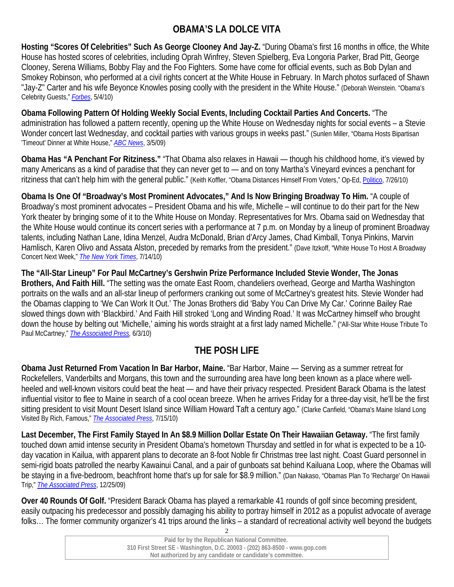### **OBAMA'S LA DOLCE VITA**

**Hosting "Scores Of Celebrities" Such As George Clooney And Jay-Z.** "During Obama's first 16 months in office, the White House has hosted scores of celebrities, including Oprah Winfrey, Steven Spielberg, Eva Longoria Parker, Brad Pitt, George Clooney, Serena Williams, Bobby Flay and the Foo Fighters. Some have come for official events, such as Bob Dylan and Smokey Robinson, who performed at a civil rights concert at the White House in February. In March photos surfaced of Shawn "Jay-Z" Carter and his wife Beyonce Knowles posing coolly with the president in the White House." (Deborah Weinstein. "Obama's Celebrity Guests," *Forbes*, 5/4/10)

**Obama Following Pattern Of Holding Weekly Social Events, Including Cocktail Parties And Concerts.** "The administration has followed a pattern recently, opening up the White House on Wednesday nights for social events – a Stevie Wonder concert last Wednesday, and cocktail parties with various groups in weeks past." (Sunlen Miller, "Obama Hosts Bipartisan 'Timeout' Dinner at White House," *ABC News*, 3/5/09)

**Obama Has "A Penchant For Ritziness."** "That Obama also relaxes in Hawaii — though his childhood home, it's viewed by many Americans as a kind of paradise that they can never get to — and on tony Martha's Vineyard evinces a penchant for ritziness that can't help him with the general public." (Keith Koffler, "Obama Distances Himself From Voters," Op-Ed, Politico, 7/26/10)

**Obama Is One Of "Broadway's Most Prominent Advocates," And Is Now Bringing Broadway To Him.** "A couple of Broadway's most prominent advocates – President Obama and his wife, Michelle – will continue to do their part for the New York theater by bringing some of it to the White House on Monday. Representatives for Mrs. Obama said on Wednesday that the White House would continue its concert series with a performance at 7 p.m. on Monday by a lineup of prominent Broadway talents, including Nathan Lane, Idina Menzel, Audra McDonald, Brian d'Arcy James, Chad Kimball, Tonya Pinkins, Marvin Hamlisch, Karen Olivo and Assata Alston, preceded by remarks from the president." (Dave Itzkoff, "White House To Host A Broadway Concert Next Week," *The New York Times*, 7/14/10)

**The "All-Star Lineup" For Paul McCartney's Gershwin Prize Performance Included Stevie Wonder, The Jonas Brothers, And Faith Hill.** "The setting was the ornate East Room, chandeliers overhead, George and Martha Washington portraits on the walls and an all-star lineup of performers cranking out some of McCartney's greatest hits. Stevie Wonder had the Obamas clapping to 'We Can Work It Out.' The Jonas Brothers did 'Baby You Can Drive My Car.' Corinne Bailey Rae slowed things down with 'Blackbird.' And Faith Hill stroked 'Long and Winding Road.' It was McCartney himself who brought down the house by belting out 'Michelle,' aiming his words straight at a first lady named Michelle." ("All-Star White House Tribute To Paul McCartney," *The Associated Press,* 6/3/10)

### **THE POSH LIFE**

**Obama Just Returned From Vacation In Bar Harbor, Maine.** "Bar Harbor, Maine — Serving as a summer retreat for Rockefellers, Vanderbilts and Morgans, this town and the surrounding area have long been known as a place where wellheeled and well-known visitors could beat the heat — and have their privacy respected. President Barack Obama is the latest influential visitor to flee to Maine in search of a cool ocean breeze. When he arrives Friday for a three-day visit, he'll be the first sitting president to visit Mount Desert Island since William Howard Taft a century ago." (Clarke Canfield, "Obama's Maine Island Long Visited By Rich, Famous," *The Associated Press*, 7/15/10)

**Last December, The First Family Stayed In An \$8.9 Million Dollar Estate On Their Hawaiian Getaway.** "The first family touched down amid intense security in President Obama's hometown Thursday and settled in for what is expected to be a 10 day vacation in Kailua, with apparent plans to decorate an 8-foot Noble fir Christmas tree last night. Coast Guard personnel in semi-rigid boats patrolled the nearby Kawainui Canal, and a pair of gunboats sat behind Kailuana Loop, where the Obamas will be staying in a five-bedroom, beachfront home that's up for sale for \$8.9 million." (Dan Nakaso, "Obamas Plan To 'Recharge' On Hawaii Trip," *The Associated Press*, 12/25/09)

**Over 40 Rounds Of Golf.** "President Barack Obama has played a remarkable 41 rounds of golf since becoming president, easily outpacing his predecessor and possibly damaging his ability to portray himself in 2012 as a populist advocate of average folks… The former community organizer's 41 trips around the links – a standard of recreational activity well beyond the budgets

| Paid for by the Republican National Committee.                              |  |
|-----------------------------------------------------------------------------|--|
| 310 First Street SE - Washington, D.C. 20003 - (202) 863-8500 - www.gop.com |  |
| Not authorized by any candidate or candidate's committee.                   |  |
|                                                                             |  |